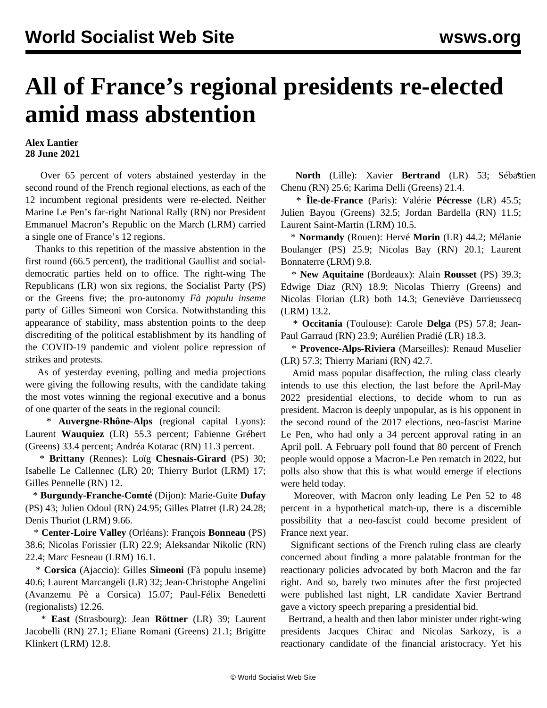## **All of France's regional presidents re-elected amid mass abstention**

## **Alex Lantier 28 June 2021**

 Over 65 percent of voters abstained yesterday in the second round of the French regional elections, as each of the 12 incumbent regional presidents were re-elected. Neither Marine Le Pen's far-right National Rally (RN) nor President Emmanuel Macron's Republic on the March (LRM) carried a single one of France's 12 regions.

 Thanks to this repetition of the massive abstention in the first round (66.5 percent), the traditional Gaullist and socialdemocratic parties held on to office. The right-wing The Republicans (LR) won six regions, the Socialist Party (PS) or the Greens five; the pro-autonomy *Fà populu inseme* party of Gilles Simeoni won Corsica. Notwithstanding this appearance of stability, mass abstention points to the deep discrediting of the political establishment by its handling of the COVID-19 pandemic and violent police repression of strikes and protests.

 As of yesterday evening, polling and media projections were giving the following results, with the candidate taking the most votes winning the regional executive and a bonus of one quarter of the seats in the regional council:

 \* **Auvergne-Rhône-Alps** (regional capital Lyons): Laurent **Wauquiez** (LR) 55.3 percent; Fabienne Grébert (Greens) 33.4 percent; Andréa Kotarac (RN) 11.3 percent.

 \* **Brittany** (Rennes): Loïg **Chesnais-Girard** (PS) 30; Isabelle Le Callennec (LR) 20; Thierry Burlot (LRM) 17; Gilles Pennelle (RN) 12.

 \* **Burgundy-Franche-Comté** (Dijon): Marie-Guite **Dufay** (PS) 43; Julien Odoul (RN) 24.95; Gilles Platret (LR) 24.28; Denis Thuriot (LRM) 9.66.

 \* **Center-Loire Valley** (Orléans): François **Bonneau** (PS) 38.6; Nicolas Forissier (LR) 22.9; Aleksandar Nikolic (RN) 22.4; Marc Fesneau (LRM) 16.1.

 \* **Corsica** (Ajaccio): Gilles **Simeoni** (Fà populu inseme) 40.6; Laurent Marcangeli (LR) 32; Jean-Christophe Angelini (Avanzemu Pè a Corsica) 15.07; Paul-Félix Benedetti (regionalists) 12.26.

 \* **East** (Strasbourg): Jean **Röttner** (LR) 39; Laurent Jacobelli (RN) 27.1; Eliane Romani (Greens) 21.1; Brigitte Klinkert (LRM) 12.8.

**North** (Lille): Xavier **Bertrand** (LR) 53; Sébastien Chenu (RN) 25.6; Karima Delli (Greens) 21.4.

 \* **Île-de-France** (Paris): Valérie **Pécresse** (LR) 45.5; Julien Bayou (Greens) 32.5; Jordan Bardella (RN) 11.5; Laurent Saint-Martin (LRM) 10.5.

 \* **Normandy** (Rouen): Hervé **Morin** (LR) 44.2; Mélanie Boulanger (PS) 25.9; Nicolas Bay (RN) 20.1; Laurent Bonnaterre (LRM) 9.8.

 \* **New Aquitaine** (Bordeaux): Alain **Rousset** (PS) 39.3; Edwige Diaz (RN) 18.9; Nicolas Thierry (Greens) and Nicolas Florian (LR) both 14.3; Geneviève Darrieussecq (LRM) 13.2.

 \* **Occitania** (Toulouse): Carole **Delga** (PS) 57.8; Jean-Paul Garraud (RN) 23.9; Aurélien Pradié (LR) 18.3.

 \* **Provence-Alps-Riviera** (Marseilles): Renaud Muselier (LR) 57.3; Thierry Mariani (RN) 42.7.

 Amid mass popular disaffection, the ruling class clearly intends to use this election, the last before the April-May 2022 presidential elections, to decide whom to run as president. Macron is deeply unpopular, as is his opponent in the second round of the 2017 elections, neo-fascist Marine Le Pen, who had only a 34 percent approval rating in an April poll. A February poll found that 80 percent of French people would oppose a Macron-Le Pen rematch in 2022, but polls also show that this is what would emerge if elections were held today.

 Moreover, with Macron only leading Le Pen 52 to 48 percent in a hypothetical match-up, there is a discernible possibility that a neo-fascist could become president of France next year.

 Significant sections of the French ruling class are clearly concerned about finding a more palatable frontman for the reactionary policies advocated by both Macron and the far right. And so, barely two minutes after the first projected were published last night, LR candidate Xavier Bertrand gave a victory speech preparing a presidential bid.

 Bertrand, a health and then labor minister under right-wing presidents Jacques Chirac and Nicolas Sarkozy, is a reactionary candidate of the financial aristocracy. Yet his